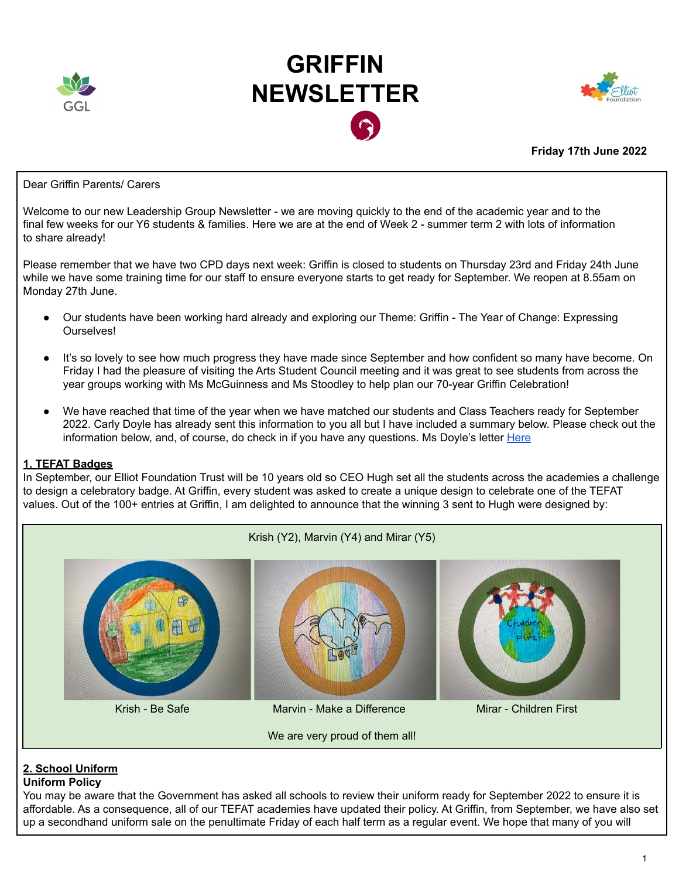

# **GRIFFIN NEWSLETTER**



**Friday 17th June 2022**

#### Dear Griffin Parents/ Carers

Welcome to our new Leadership Group Newsletter - we are moving quickly to the end of the academic year and to the final few weeks for our Y6 students & families. Here we are at the end of Week 2 - summer term 2 with lots of information to share already!

Please remember that we have two CPD days next week: Griffin is closed to students on Thursday 23rd and Friday 24th June while we have some training time for our staff to ensure everyone starts to get ready for September. We reopen at 8.55am on Monday 27th June.

- Our students have been working hard already and exploring our Theme: Griffin The Year of Change: Expressing **Ourselves!**
- It's so lovely to see how much progress they have made since September and how confident so many have become. On Friday I had the pleasure of visiting the Arts Student Council meeting and it was great to see students from across the year groups working with Ms McGuinness and Ms Stoodley to help plan our 70-year Griffin Celebration!
- We have reached that time of the year when we have matched our students and Class Teachers ready for September 2022. Carly Doyle has already sent this information to you all but I have included a summary below. Please check out the information below, and, of course, do check in if you have any questions. Ms Doyle's letter [Here](https://docs.google.com/document/d/1hcJ1PA_94c68U2KARO0U1hxKQtHsOF65Lev5lm1hN6E/edit?usp=sharing)

#### **1. TEFAT Badges**

In September, our Elliot Foundation Trust will be 10 years old so CEO Hugh set all the students across the academies a challenge to design a celebratory badge. At Griffin, every student was asked to create a unique design to celebrate one of the TEFAT values. Out of the 100+ entries at Griffin, I am delighted to announce that the winning 3 sent to Hugh were designed by:



# **2. School Uniform**

## **Uniform Policy**

You may be aware that the Government has asked all schools to review their uniform ready for September 2022 to ensure it is affordable. As a consequence, all of our TEFAT academies have updated their policy. At Griffin, from September, we have also set up a secondhand uniform sale on the penultimate Friday of each half term as a regular event. We hope that many of you will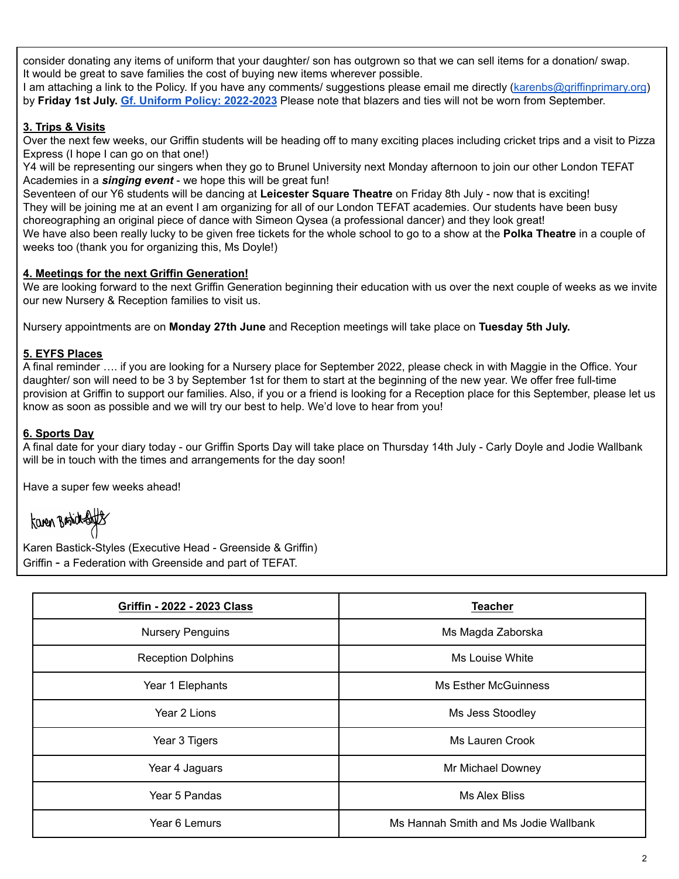consider donating any items of uniform that your daughter/ son has outgrown so that we can sell items for a donation/ swap. It would be great to save families the cost of buying new items wherever possible.

I am attaching a link to the Policy. If you have any comments/ suggestions please email me directly [\(karenbs@griffinprimary.org](mailto:karenbs@griffinprimary.org)) by **Friday 1st July. Gf. Uniform Policy: [2022-2023](https://docs.google.com/document/d/18uF5rfRDjpSLE_MDFmxjEiZVCX-B_BcSxsCuXqbvFB8/edit?usp=sharing)** Please note that blazers and ties will not be worn from September.

## **3. Trips & Visits**

Over the next few weeks, our Griffin students will be heading off to many exciting places including cricket trips and a visit to Pizza Express (I hope I can go on that one!)

Y4 will be representing our singers when they go to Brunel University next Monday afternoon to join our other London TEFAT Academies in a *singing event* - we hope this will be great fun!

Seventeen of our Y6 students will be dancing at **Leicester Square Theatre** on Friday 8th July - now that is exciting! They will be joining me at an event I am organizing for all of our London TEFAT academies. Our students have been busy choreographing an original piece of dance with Simeon Qysea (a professional dancer) and they look great! We have also been really lucky to be given free tickets for the whole school to go to a show at the **Polka Theatre** in a couple of weeks too (thank you for organizing this, Ms Doyle!)

## **4. Meetings for the next Griffin Generation!**

We are looking forward to the next Griffin Generation beginning their education with us over the next couple of weeks as we invite our new Nursery & Reception families to visit us.

Nursery appointments are on **Monday 27th June** and Reception meetings will take place on **Tuesday 5th July.**

## **5. EYFS Places**

A final reminder …. if you are looking for a Nursery place for September 2022, please check in with Maggie in the Office. Your daughter/ son will need to be 3 by September 1st for them to start at the beginning of the new year. We offer free full-time provision at Griffin to support our families. Also, if you or a friend is looking for a Reception place for this September, please let us know as soon as possible and we will try our best to help. We'd love to hear from you!

# **6. Sports Day**

A final date for your diary today - our Griffin Sports Day will take place on Thursday 14th July - Carly Doyle and Jodie Wallbank will be in touch with the times and arrangements for the day soon!

Have a super few weeks ahead!

Karen Basicksby

Karen Bastick-Styles (Executive Head - Greenside & Griffin) Griffin - a Federation with Greenside and part of TEFAT.

| Griffin - 2022 - 2023 Class | <b>Teacher</b>                        |
|-----------------------------|---------------------------------------|
| <b>Nursery Penguins</b>     | Ms Magda Zaborska                     |
| <b>Reception Dolphins</b>   | Ms Louise White                       |
| Year 1 Elephants            | <b>Ms Esther McGuinness</b>           |
| Year 2 Lions                | Ms Jess Stoodley                      |
| Year 3 Tigers               | Ms Lauren Crook                       |
| Year 4 Jaguars              | Mr Michael Downey                     |
| Year 5 Pandas               | <b>Ms Alex Bliss</b>                  |
| Year 6 Lemurs               | Ms Hannah Smith and Ms Jodie Wallbank |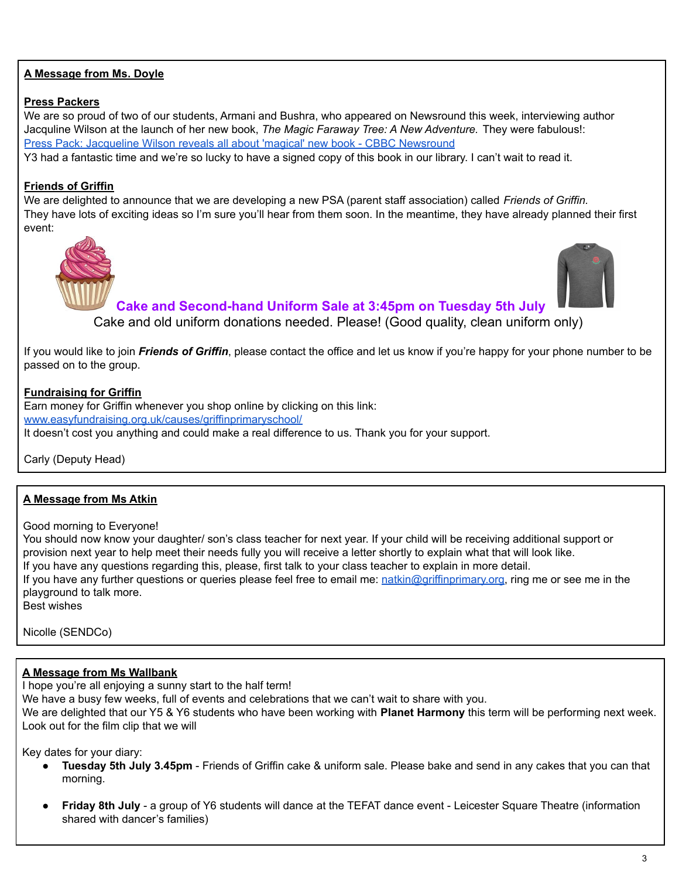## **A Message from Ms. Doyle**

#### **Press Packers**

We are so proud of two of our students, Armani and Bushra, who appeared on Newsround this week, interviewing author Jacquline Wilson at the launch of her new book, *The Magic Faraway Tree: A New Adventure.* They were fabulous!: Press Pack: Jacqueline Wilson reveals all about 'magical' new book - CBBC [Newsround](https://www.bbc.co.uk/newsround/61761757)

Y3 had a fantastic time and we're so lucky to have a signed copy of this book in our library. I can't wait to read it.

## **Friends of Griffin**

We are delighted to announce that we are developing a new PSA (parent staff association) called *Friends of Griffin.* They have lots of exciting ideas so I'm sure you'll hear from them soon. In the meantime, they have already planned their first event:



# **Cake and Second-hand Uniform Sale at 3:45pm on Tuesday 5th July**

Cake and old uniform donations needed. Please! (Good quality, clean uniform only)

If you would like to join *Friends of Griffin*, please contact the office and let us know if you're happy for your phone number to be passed on to the group.

## **Fundraising for Griffin**

Earn money for Griffin whenever you shop online by clicking on this link: [www.easyfundraising.org.uk/causes/griffinprimaryschool/](https://www.easyfundraising.org.uk/causes/griffinprimaryschool/) It doesn't cost you anything and could make a real difference to us. Thank you for your support.

Carly (Deputy Head)

## **A Message from Ms Atkin**

Good morning to Everyone!

You should now know your daughter/ son's class teacher for next year. If your child will be receiving additional support or provision next year to help meet their needs fully you will receive a letter shortly to explain what that will look like. If you have any questions regarding this, please, first talk to your class teacher to explain in more detail. If you have any further questions or queries please feel free to email me: [natkin@griffinprimary.org](mailto:natkin@griffinprimary.org), ring me or see me in the playground to talk more. Best wishes

Nicolle (SENDCo)

## **A Message from Ms Wallbank**

I hope you're all enjoying a sunny start to the half term!

We have a busy few weeks, full of events and celebrations that we can't wait to share with you.

We are delighted that our Y5 & Y6 students who have been working with **Planet Harmony** this term will be performing next week. Look out for the film clip that we will

Key dates for your diary:

- **Tuesday 5th July 3.45pm** Friends of Griffin cake & uniform sale. Please bake and send in any cakes that you can that morning.
- **Friday 8th July** a group of Y6 students will dance at the TEFAT dance event Leicester Square Theatre (information shared with dancer's families)